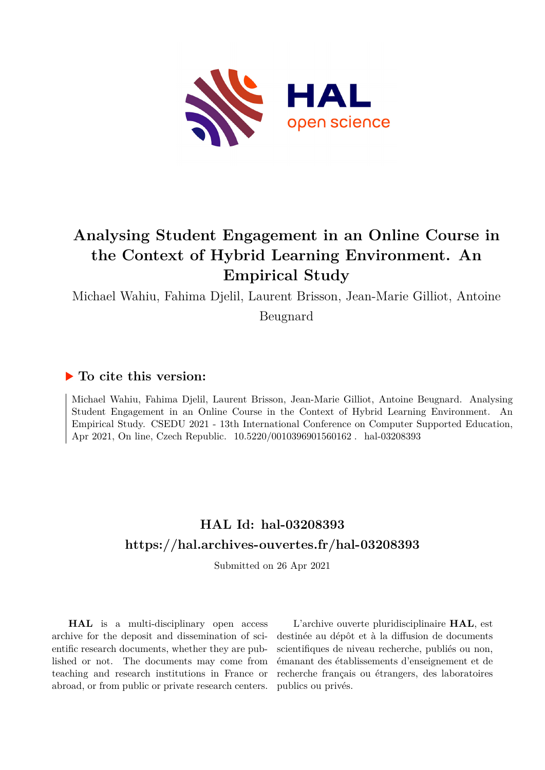

# **Analysing Student Engagement in an Online Course in the Context of Hybrid Learning Environment. An Empirical Study**

Michael Wahiu, Fahima Djelil, Laurent Brisson, Jean-Marie Gilliot, Antoine

Beugnard

# **To cite this version:**

Michael Wahiu, Fahima Djelil, Laurent Brisson, Jean-Marie Gilliot, Antoine Beugnard. Analysing Student Engagement in an Online Course in the Context of Hybrid Learning Environment. An Empirical Study. CSEDU 2021 - 13th International Conference on Computer Supported Education, Apr 2021, On line, Czech Republic.  $10.5220/0010396901560162$ . hal-03208393

# **HAL Id: hal-03208393 <https://hal.archives-ouvertes.fr/hal-03208393>**

Submitted on 26 Apr 2021

**HAL** is a multi-disciplinary open access archive for the deposit and dissemination of scientific research documents, whether they are published or not. The documents may come from teaching and research institutions in France or abroad, or from public or private research centers.

L'archive ouverte pluridisciplinaire **HAL**, est destinée au dépôt et à la diffusion de documents scientifiques de niveau recherche, publiés ou non, émanant des établissements d'enseignement et de recherche français ou étrangers, des laboratoires publics ou privés.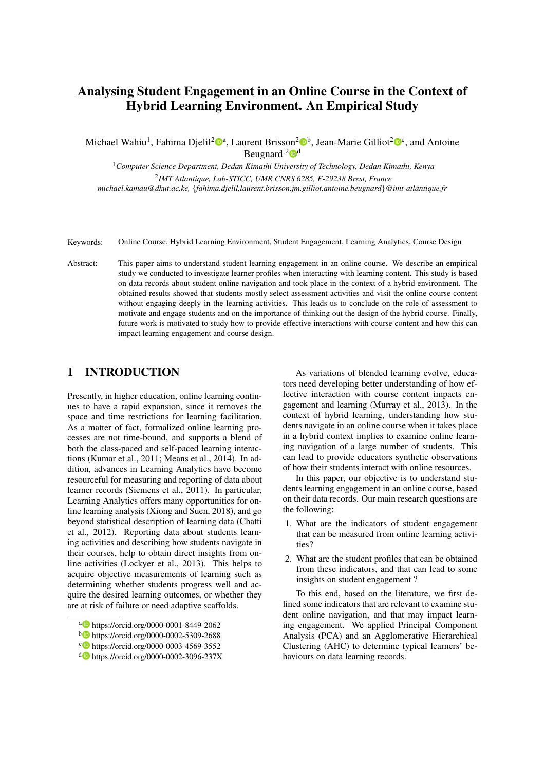# Analysing Student Engagement in an Online Course in the Context of Hybrid Learning Environment. An Empirical Study

Michael Wahiu<sup>1</sup>, Fahima Djelil<sup>2</sup><sup>®a</sup>, Laurent Brisson<sup>2</sup>®<sup>b</sup>, Jean-Marie Gilliot<sup>2</sup>®<sup>c</sup>, and Antoine Beugnard  $2\mathbf{0}^d$ 

<sup>1</sup>*Computer Science Department, Dedan Kimathi University of Technology, Dedan Kimathi, Kenya* 2 *IMT Atlantique, Lab-STICC, UMR CNRS 6285, F-29238 Brest, France michael.kamau@dkut.ac.ke,* {*fahima.djelil,laurent.brisson,jm.gilliot,antoine.beugnard*}*@imt-atlantique.fr*

- Keywords: Online Course, Hybrid Learning Environment, Student Engagement, Learning Analytics, Course Design
- Abstract: This paper aims to understand student learning engagement in an online course. We describe an empirical study we conducted to investigate learner profiles when interacting with learning content. This study is based on data records about student online navigation and took place in the context of a hybrid environment. The obtained results showed that students mostly select assessment activities and visit the online course content without engaging deeply in the learning activities. This leads us to conclude on the role of assessment to motivate and engage students and on the importance of thinking out the design of the hybrid course. Finally, future work is motivated to study how to provide effective interactions with course content and how this can impact learning engagement and course design.

# 1 INTRODUCTION

Presently, in higher education, online learning continues to have a rapid expansion, since it removes the space and time restrictions for learning facilitation. As a matter of fact, formalized online learning processes are not time-bound, and supports a blend of both the class-paced and self-paced learning interactions (Kumar et al., 2011; Means et al., 2014). In addition, advances in Learning Analytics have become resourceful for measuring and reporting of data about learner records (Siemens et al., 2011). In particular, Learning Analytics offers many opportunities for online learning analysis (Xiong and Suen, 2018), and go beyond statistical description of learning data (Chatti et al., 2012). Reporting data about students learning activities and describing how students navigate in their courses, help to obtain direct insights from online activities (Lockyer et al., 2013). This helps to acquire objective measurements of learning such as determining whether students progress well and acquire the desired learning outcomes, or whether they are at risk of failure or need adaptive scaffolds.

As variations of blended learning evolve, educators need developing better understanding of how effective interaction with course content impacts engagement and learning (Murray et al., 2013). In the context of hybrid learning, understanding how students navigate in an online course when it takes place in a hybrid context implies to examine online learning navigation of a large number of students. This can lead to provide educators synthetic observations of how their students interact with online resources.

In this paper, our objective is to understand students learning engagement in an online course, based on their data records. Our main research questions are the following:

- 1. What are the indicators of student engagement that can be measured from online learning activities?
- 2. What are the student profiles that can be obtained from these indicators, and that can lead to some insights on student engagement ?

To this end, based on the literature, we first defined some indicators that are relevant to examine student online navigation, and that may impact learning engagement. We applied Principal Component Analysis (PCA) and an Agglomerative Hierarchical Clustering (AHC) to determine typical learners' behaviours on data learning records.

<sup>a</sup> https://orcid.org/0000-0001-8449-2062

<sup>b</sup> https://orcid.org/0000-0002-5309-2688

c https://orcid.org/0000-0003-4569-3552

<sup>d</sup> https://orcid.org/0000-0002-3096-237X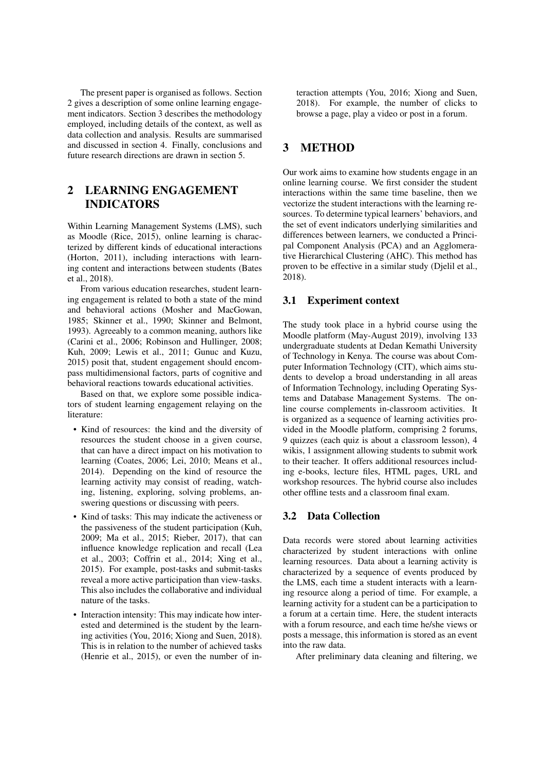The present paper is organised as follows. Section 2 gives a description of some online learning engagement indicators. Section 3 describes the methodology employed, including details of the context, as well as data collection and analysis. Results are summarised and discussed in section 4. Finally, conclusions and future research directions are drawn in section 5.

# 2 LEARNING ENGAGEMENT INDICATORS

Within Learning Management Systems (LMS), such as Moodle (Rice, 2015), online learning is characterized by different kinds of educational interactions (Horton, 2011), including interactions with learning content and interactions between students (Bates et al., 2018).

From various education researches, student learning engagement is related to both a state of the mind and behavioral actions (Mosher and MacGowan, 1985; Skinner et al., 1990; Skinner and Belmont, 1993). Agreeably to a common meaning, authors like (Carini et al., 2006; Robinson and Hullinger, 2008; Kuh, 2009; Lewis et al., 2011; Gunuc and Kuzu, 2015) posit that, student engagement should encompass multidimensional factors, parts of cognitive and behavioral reactions towards educational activities.

Based on that, we explore some possible indicators of student learning engagement relaying on the literature:

- Kind of resources: the kind and the diversity of resources the student choose in a given course, that can have a direct impact on his motivation to learning (Coates, 2006; Lei, 2010; Means et al., 2014). Depending on the kind of resource the learning activity may consist of reading, watching, listening, exploring, solving problems, answering questions or discussing with peers.
- Kind of tasks: This may indicate the activeness or the passiveness of the student participation (Kuh, 2009; Ma et al., 2015; Rieber, 2017), that can influence knowledge replication and recall (Lea et al., 2003; Coffrin et al., 2014; Xing et al., 2015). For example, post-tasks and submit-tasks reveal a more active participation than view-tasks. This also includes the collaborative and individual nature of the tasks.
- Interaction intensity: This may indicate how interested and determined is the student by the learning activities (You, 2016; Xiong and Suen, 2018). This is in relation to the number of achieved tasks (Henrie et al., 2015), or even the number of in-

teraction attempts (You, 2016; Xiong and Suen, 2018). For example, the number of clicks to browse a page, play a video or post in a forum.

# 3 METHOD

Our work aims to examine how students engage in an online learning course. We first consider the student interactions within the same time baseline, then we vectorize the student interactions with the learning resources. To determine typical learners' behaviors, and the set of event indicators underlying similarities and differences between learners, we conducted a Principal Component Analysis (PCA) and an Agglomerative Hierarchical Clustering (AHC). This method has proven to be effective in a similar study (Djelil et al., 2018).

## 3.1 Experiment context

The study took place in a hybrid course using the Moodle platform (May-August 2019), involving 133 undergraduate students at Dedan Kemathi University of Technology in Kenya. The course was about Computer Information Technology (CIT), which aims students to develop a broad understanding in all areas of Information Technology, including Operating Systems and Database Management Systems. The online course complements in-classroom activities. It is organized as a sequence of learning activities provided in the Moodle platform, comprising 2 forums, 9 quizzes (each quiz is about a classroom lesson), 4 wikis, 1 assignment allowing students to submit work to their teacher. It offers additional resources including e-books, lecture files, HTML pages, URL and workshop resources. The hybrid course also includes other offline tests and a classroom final exam.

## 3.2 Data Collection

Data records were stored about learning activities characterized by student interactions with online learning resources. Data about a learning activity is characterized by a sequence of events produced by the LMS, each time a student interacts with a learning resource along a period of time. For example, a learning activity for a student can be a participation to a forum at a certain time. Here, the student interacts with a forum resource, and each time he/she views or posts a message, this information is stored as an event into the raw data.

After preliminary data cleaning and filtering, we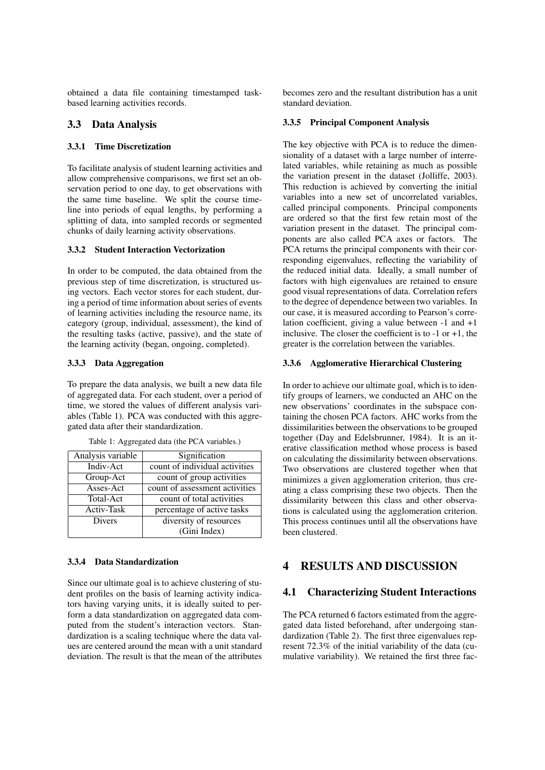obtained a data file containing timestamped taskbased learning activities records.

## 3.3 Data Analysis

#### 3.3.1 Time Discretization

To facilitate analysis of student learning activities and allow comprehensive comparisons, we first set an observation period to one day, to get observations with the same time baseline. We split the course timeline into periods of equal lengths, by performing a splitting of data, into sampled records or segmented chunks of daily learning activity observations.

### 3.3.2 Student Interaction Vectorization

In order to be computed, the data obtained from the previous step of time discretization, is structured using vectors. Each vector stores for each student, during a period of time information about series of events of learning activities including the resource name, its category (group, individual, assessment), the kind of the resulting tasks (active, passive), and the state of the learning activity (began, ongoing, completed).

#### 3.3.3 Data Aggregation

To prepare the data analysis, we built a new data file of aggregated data. For each student, over a period of time, we stored the values of different analysis variables (Table 1). PCA was conducted with this aggregated data after their standardization.

| Analysis variable | Signification                  |
|-------------------|--------------------------------|
| Indiv-Act         | count of individual activities |
| Group-Act         | count of group activities      |
| Asses-Act         | count of assessment activities |
| Total-Act         | count of total activities      |
| Activ-Task        | percentage of active tasks     |
| <b>Divers</b>     | diversity of resources         |
|                   | (Gini Index)                   |

Table 1: Aggregated data (the PCA variables.)

#### 3.3.4 Data Standardization

Since our ultimate goal is to achieve clustering of student profiles on the basis of learning activity indicators having varying units, it is ideally suited to perform a data standardization on aggregated data computed from the student's interaction vectors. Standardization is a scaling technique where the data values are centered around the mean with a unit standard deviation. The result is that the mean of the attributes becomes zero and the resultant distribution has a unit standard deviation.

#### 3.3.5 Principal Component Analysis

The key objective with PCA is to reduce the dimensionality of a dataset with a large number of interrelated variables, while retaining as much as possible the variation present in the dataset (Jolliffe, 2003). This reduction is achieved by converting the initial variables into a new set of uncorrelated variables, called principal components. Principal components are ordered so that the first few retain most of the variation present in the dataset. The principal components are also called PCA axes or factors. The PCA returns the principal components with their corresponding eigenvalues, reflecting the variability of the reduced initial data. Ideally, a small number of factors with high eigenvalues are retained to ensure good visual representations of data. Correlation refers to the degree of dependence between two variables. In our case, it is measured according to Pearson's correlation coefficient, giving a value between -1 and +1 inclusive. The closer the coefficient is to  $-1$  or  $+1$ , the greater is the correlation between the variables.

#### 3.3.6 Agglomerative Hierarchical Clustering

In order to achieve our ultimate goal, which is to identify groups of learners, we conducted an AHC on the new observations' coordinates in the subspace containing the chosen PCA factors. AHC works from the dissimilarities between the observations to be grouped together (Day and Edelsbrunner, 1984). It is an iterative classification method whose process is based on calculating the dissimilarity between observations. Two observations are clustered together when that minimizes a given agglomeration criterion, thus creating a class comprising these two objects. Then the dissimilarity between this class and other observations is calculated using the agglomeration criterion. This process continues until all the observations have been clustered.

# 4 RESULTS AND DISCUSSION

#### 4.1 Characterizing Student Interactions

The PCA returned 6 factors estimated from the aggregated data listed beforehand, after undergoing standardization (Table 2). The first three eigenvalues represent 72.3% of the initial variability of the data (cumulative variability). We retained the first three fac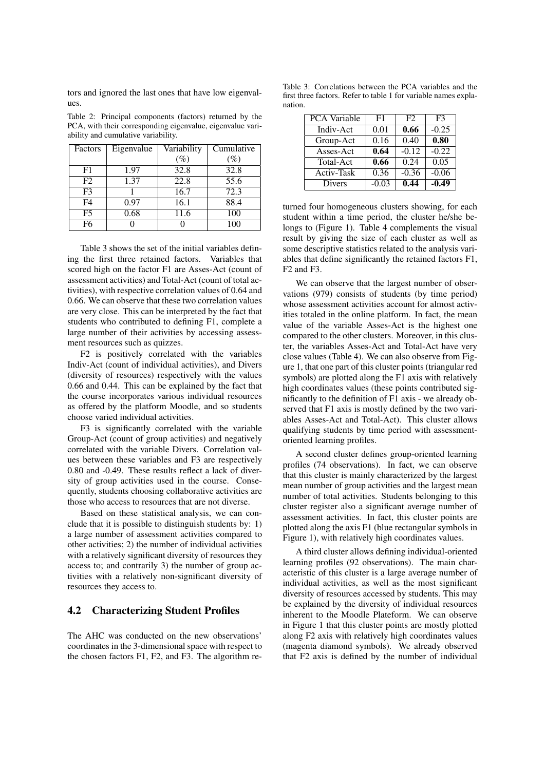tors and ignored the last ones that have low eigenvalues.

Table 2: Principal components (factors) returned by the PCA, with their corresponding eigenvalue, eigenvalue variability and cumulative variability.

| Factors        | Eigenvalue | Variability         | Cumulative |
|----------------|------------|---------------------|------------|
|                |            | $\left( \% \right)$ | $(\%)$     |
| F <sub>1</sub> | 1.97       | 32.8                | 32.8       |
| F2             | 1.37       | 22.8                | 55.6       |
| F <sup>3</sup> |            | 16.7                | 72.3       |
| F4             | 0.97       | 16.1                | 88.4       |
| F <sub>5</sub> | 0.68       | 11.6                | 100        |
| F6             |            |                     | 100        |

Table 3 shows the set of the initial variables defining the first three retained factors. Variables that scored high on the factor F1 are Asses-Act (count of assessment activities) and Total-Act (count of total activities), with respective correlation values of 0.64 and 0.66. We can observe that these two correlation values are very close. This can be interpreted by the fact that students who contributed to defining F1, complete a large number of their activities by accessing assessment resources such as quizzes.

F2 is positively correlated with the variables Indiv-Act (count of individual activities), and Divers (diversity of resources) respectively with the values 0.66 and 0.44. This can be explained by the fact that the course incorporates various individual resources as offered by the platform Moodle, and so students choose varied individual activities.

F3 is significantly correlated with the variable Group-Act (count of group activities) and negatively correlated with the variable Divers. Correlation values between these variables and F3 are respectively 0.80 and -0.49. These results reflect a lack of diversity of group activities used in the course. Consequently, students choosing collaborative activities are those who access to resources that are not diverse.

Based on these statistical analysis, we can conclude that it is possible to distinguish students by: 1) a large number of assessment activities compared to other activities; 2) the number of individual activities with a relatively significant diversity of resources they access to; and contrarily 3) the number of group activities with a relatively non-significant diversity of resources they access to.

### 4.2 Characterizing Student Profiles

The AHC was conducted on the new observations' coordinates in the 3-dimensional space with respect to the chosen factors F1, F2, and F3. The algorithm re-

Table 3: Correlations between the PCA variables and the first three factors. Refer to table 1 for variable names explanation.

| <b>PCA Variable</b> | F <sub>1</sub> | F2      | F <sup>3</sup>    |
|---------------------|----------------|---------|-------------------|
| Indiv-Act           | 0.01           | 0.66    | $-0.25$           |
| Group-Act           | 0.16           | 0.40    | $\overline{0.80}$ |
| Asses-Act           | 0.64           | $-0.12$ | $-0.22$           |
| Total-Act           | 0.66           | 0.24    | 0.05              |
| Activ-Task          | 0.36           | $-0.36$ | $-0.06$           |
| Divers              | $-0.03$        | 0.44    | $-0.49$           |

turned four homogeneous clusters showing, for each student within a time period, the cluster he/she belongs to (Figure 1). Table 4 complements the visual result by giving the size of each cluster as well as some descriptive statistics related to the analysis variables that define significantly the retained factors F1, F2 and F3.

We can observe that the largest number of observations (979) consists of students (by time period) whose assessment activities account for almost activities totaled in the online platform. In fact, the mean value of the variable Asses-Act is the highest one compared to the other clusters. Moreover, in this cluster, the variables Asses-Act and Total-Act have very close values (Table 4). We can also observe from Figure 1, that one part of this cluster points (triangular red symbols) are plotted along the F1 axis with relatively high coordinates values (these points contributed significantly to the definition of F1 axis - we already observed that F1 axis is mostly defined by the two variables Asses-Act and Total-Act). This cluster allows qualifying students by time period with assessmentoriented learning profiles.

A second cluster defines group-oriented learning profiles (74 observations). In fact, we can observe that this cluster is mainly characterized by the largest mean number of group activities and the largest mean number of total activities. Students belonging to this cluster register also a significant average number of assessment activities. In fact, this cluster points are plotted along the axis F1 (blue rectangular symbols in Figure 1), with relatively high coordinates values.

A third cluster allows defining individual-oriented learning profiles (92 observations). The main characteristic of this cluster is a large average number of individual activities, as well as the most significant diversity of resources accessed by students. This may be explained by the diversity of individual resources inherent to the Moodle Plateform. We can observe in Figure 1 that this cluster points are mostly plotted along F2 axis with relatively high coordinates values (magenta diamond symbols). We already observed that F2 axis is defined by the number of individual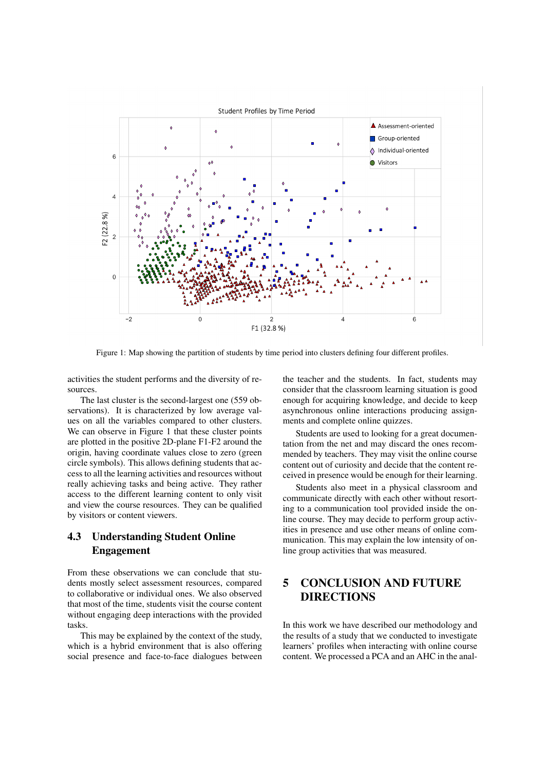

Figure 1: Map showing the partition of students by time period into clusters defining four different profiles.

activities the student performs and the diversity of resources.

The last cluster is the second-largest one (559 observations). It is characterized by low average values on all the variables compared to other clusters. We can observe in Figure 1 that these cluster points are plotted in the positive 2D-plane F1-F2 around the origin, having coordinate values close to zero (green circle symbols). This allows defining students that access to all the learning activities and resources without really achieving tasks and being active. They rather access to the different learning content to only visit and view the course resources. They can be qualified by visitors or content viewers.

# 4.3 Understanding Student Online Engagement

From these observations we can conclude that students mostly select assessment resources, compared to collaborative or individual ones. We also observed that most of the time, students visit the course content without engaging deep interactions with the provided tasks.

This may be explained by the context of the study, which is a hybrid environment that is also offering social presence and face-to-face dialogues between

the teacher and the students. In fact, students may consider that the classroom learning situation is good enough for acquiring knowledge, and decide to keep asynchronous online interactions producing assignments and complete online quizzes.

Students are used to looking for a great documentation from the net and may discard the ones recommended by teachers. They may visit the online course content out of curiosity and decide that the content received in presence would be enough for their learning.

Students also meet in a physical classroom and communicate directly with each other without resorting to a communication tool provided inside the online course. They may decide to perform group activities in presence and use other means of online communication. This may explain the low intensity of online group activities that was measured.

# 5 CONCLUSION AND FUTURE DIRECTIONS

In this work we have described our methodology and the results of a study that we conducted to investigate learners' profiles when interacting with online course content. We processed a PCA and an AHC in the anal-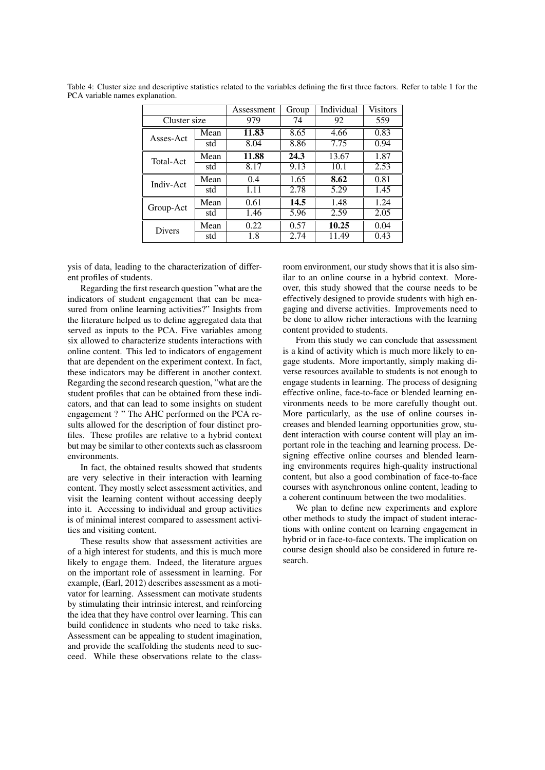|                  |      | Assessment | Group | Individual | <b>Visitors</b> |
|------------------|------|------------|-------|------------|-----------------|
| Cluster size     |      | 979        | 74    | 92         | 559             |
| Asses-Act        | Mean | 11.83      | 8.65  | 4.66       | 0.83            |
|                  | std  | 8.04       | 8.86  | 7.75       | 0.94            |
| <b>Total-Act</b> | Mean | 11.88      | 24.3  | 13.67      | 1.87            |
|                  | std  | 8.17       | 9.13  | 10.1       | 2.53            |
| Indiv-Act        | Mean | 0.4        | 1.65  | 8.62       | 0.81            |
|                  | std  | 1.11       | 2.78  | 5.29       | 1.45            |
| Group-Act        | Mean | 0.61       | 14.5  | 1.48       | 1.24            |
|                  | std  | 1.46       | 5.96  | 2.59       | 2.05            |
| <b>Divers</b>    | Mean | 0.22       | 0.57  | 10.25      | 0.04            |
|                  | std  | 1.8        | 2.74  | 11.49      | 0.43            |

Table 4: Cluster size and descriptive statistics related to the variables defining the first three factors. Refer to table 1 for the PCA variable names explanation.

ysis of data, leading to the characterization of different profiles of students.

Regarding the first research question "what are the indicators of student engagement that can be measured from online learning activities?" Insights from the literature helped us to define aggregated data that served as inputs to the PCA. Five variables among six allowed to characterize students interactions with online content. This led to indicators of engagement that are dependent on the experiment context. In fact, these indicators may be different in another context. Regarding the second research question, "what are the student profiles that can be obtained from these indicators, and that can lead to some insights on student engagement ? " The AHC performed on the PCA results allowed for the description of four distinct profiles. These profiles are relative to a hybrid context but may be similar to other contexts such as classroom environments.

In fact, the obtained results showed that students are very selective in their interaction with learning content. They mostly select assessment activities, and visit the learning content without accessing deeply into it. Accessing to individual and group activities is of minimal interest compared to assessment activities and visiting content.

These results show that assessment activities are of a high interest for students, and this is much more likely to engage them. Indeed, the literature argues on the important role of assessment in learning. For example, (Earl, 2012) describes assessment as a motivator for learning. Assessment can motivate students by stimulating their intrinsic interest, and reinforcing the idea that they have control over learning. This can build confidence in students who need to take risks. Assessment can be appealing to student imagination, and provide the scaffolding the students need to succeed. While these observations relate to the classroom environment, our study shows that it is also similar to an online course in a hybrid context. Moreover, this study showed that the course needs to be effectively designed to provide students with high engaging and diverse activities. Improvements need to be done to allow richer interactions with the learning content provided to students.

From this study we can conclude that assessment is a kind of activity which is much more likely to engage students. More importantly, simply making diverse resources available to students is not enough to engage students in learning. The process of designing effective online, face-to-face or blended learning environments needs to be more carefully thought out. More particularly, as the use of online courses increases and blended learning opportunities grow, student interaction with course content will play an important role in the teaching and learning process. Designing effective online courses and blended learning environments requires high-quality instructional content, but also a good combination of face-to-face courses with asynchronous online content, leading to a coherent continuum between the two modalities.

We plan to define new experiments and explore other methods to study the impact of student interactions with online content on learning engagement in hybrid or in face-to-face contexts. The implication on course design should also be considered in future research.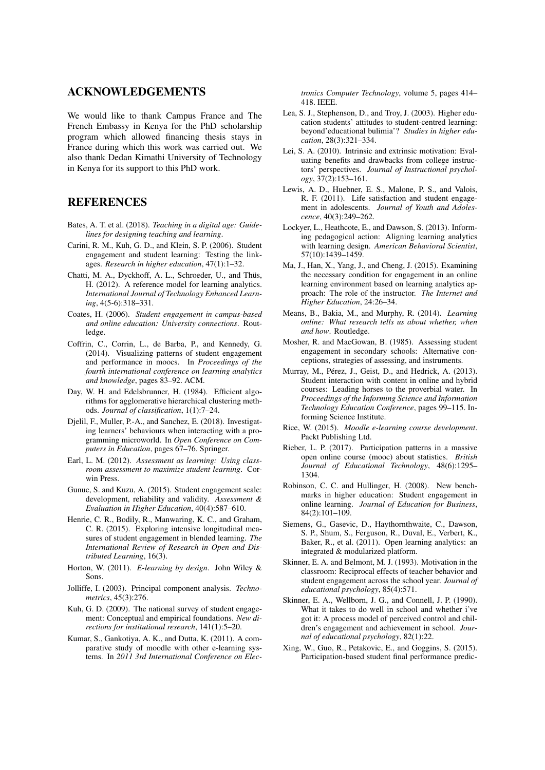# ACKNOWLEDGEMENTS

We would like to thank Campus France and The French Embassy in Kenya for the PhD scholarship program which allowed financing thesis stays in France during which this work was carried out. We also thank Dedan Kimathi University of Technology in Kenya for its support to this PhD work.

# REFERENCES

- Bates, A. T. et al. (2018). *Teaching in a digital age: Guidelines for designing teaching and learning*.
- Carini, R. M., Kuh, G. D., and Klein, S. P. (2006). Student engagement and student learning: Testing the linkages. *Research in higher education*, 47(1):1–32.
- Chatti, M. A., Dyckhoff, A. L., Schroeder, U., and Thüs, H. (2012). A reference model for learning analytics. *International Journal of Technology Enhanced Learning*, 4(5-6):318–331.
- Coates, H. (2006). *Student engagement in campus-based and online education: University connections*. Routledge.
- Coffrin, C., Corrin, L., de Barba, P., and Kennedy, G. (2014). Visualizing patterns of student engagement and performance in moocs. In *Proceedings of the fourth international conference on learning analytics and knowledge*, pages 83–92. ACM.
- Day, W. H. and Edelsbrunner, H. (1984). Efficient algorithms for agglomerative hierarchical clustering methods. *Journal of classification*, 1(1):7–24.
- Djelil, F., Muller, P.-A., and Sanchez, E. (2018). Investigating learners' behaviours when interacting with a programming microworld. In *Open Conference on Computers in Education*, pages 67–76. Springer.
- Earl, L. M. (2012). *Assessment as learning: Using classroom assessment to maximize student learning*. Corwin Press.
- Gunuc, S. and Kuzu, A. (2015). Student engagement scale: development, reliability and validity. *Assessment & Evaluation in Higher Education*, 40(4):587–610.
- Henrie, C. R., Bodily, R., Manwaring, K. C., and Graham, C. R. (2015). Exploring intensive longitudinal measures of student engagement in blended learning. *The International Review of Research in Open and Distributed Learning*, 16(3).
- Horton, W. (2011). *E-learning by design*. John Wiley & Sons.
- Jolliffe, I. (2003). Principal component analysis. *Technometrics*, 45(3):276.
- Kuh, G. D. (2009). The national survey of student engagement: Conceptual and empirical foundations. *New directions for institutional research*, 141(1):5–20.
- Kumar, S., Gankotiya, A. K., and Dutta, K. (2011). A comparative study of moodle with other e-learning systems. In *2011 3rd International Conference on Elec-*

*tronics Computer Technology*, volume 5, pages 414– 418. IEEE.

- Lea, S. J., Stephenson, D., and Troy, J. (2003). Higher education students' attitudes to student-centred learning: beyond'educational bulimia'? *Studies in higher education*, 28(3):321–334.
- Lei, S. A. (2010). Intrinsic and extrinsic motivation: Evaluating benefits and drawbacks from college instructors' perspectives. *Journal of Instructional psychology*, 37(2):153–161.
- Lewis, A. D., Huebner, E. S., Malone, P. S., and Valois, R. F. (2011). Life satisfaction and student engagement in adolescents. *Journal of Youth and Adolescence*, 40(3):249–262.
- Lockyer, L., Heathcote, E., and Dawson, S. (2013). Informing pedagogical action: Aligning learning analytics with learning design. *American Behavioral Scientist*, 57(10):1439–1459.
- Ma, J., Han, X., Yang, J., and Cheng, J. (2015). Examining the necessary condition for engagement in an online learning environment based on learning analytics approach: The role of the instructor. *The Internet and Higher Education*, 24:26–34.
- Means, B., Bakia, M., and Murphy, R. (2014). *Learning online: What research tells us about whether, when and how*. Routledge.
- Mosher, R. and MacGowan, B. (1985). Assessing student engagement in secondary schools: Alternative conceptions, strategies of assessing, and instruments.
- Murray, M., Pérez, J., Geist, D., and Hedrick, A. (2013). Student interaction with content in online and hybrid courses: Leading horses to the proverbial water. In *Proceedings of the Informing Science and Information Technology Education Conference*, pages 99–115. Informing Science Institute.
- Rice, W. (2015). *Moodle e-learning course development*. Packt Publishing Ltd.
- Rieber, L. P. (2017). Participation patterns in a massive open online course (mooc) about statistics. *British Journal of Educational Technology*, 48(6):1295– 1304.
- Robinson, C. C. and Hullinger, H. (2008). New benchmarks in higher education: Student engagement in online learning. *Journal of Education for Business*, 84(2):101–109.
- Siemens, G., Gasevic, D., Haythornthwaite, C., Dawson, S. P., Shum, S., Ferguson, R., Duval, E., Verbert, K., Baker, R., et al. (2011). Open learning analytics: an integrated & modularized platform.
- Skinner, E. A. and Belmont, M. J. (1993). Motivation in the classroom: Reciprocal effects of teacher behavior and student engagement across the school year. *Journal of educational psychology*, 85(4):571.
- Skinner, E. A., Wellborn, J. G., and Connell, J. P. (1990). What it takes to do well in school and whether i've got it: A process model of perceived control and children's engagement and achievement in school. *Journal of educational psychology*, 82(1):22.
- Xing, W., Guo, R., Petakovic, E., and Goggins, S. (2015). Participation-based student final performance predic-